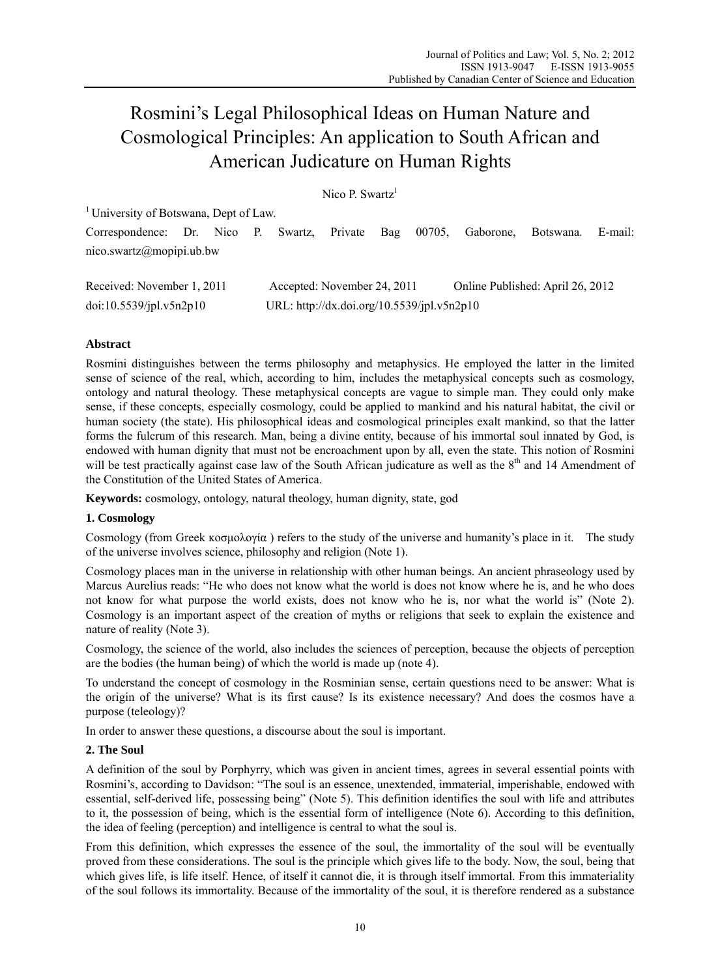# Rosmini's Legal Philosophical Ideas on Human Nature and Cosmological Principles: An application to South African and American Judicature on Human Rights

## Nico P. Swartz $1$

<sup>1</sup> University of Botswana, Dept of Law.

Correspondence: Dr. Nico P. Swartz, Private Bag 00705, Gaborone, Botswana. E-mail: nico.swartz@mopipi.ub.bw

| Received: November 1, 2011 | Accepted: November 24, 2011                | Online Published: April 26, 2012 |
|----------------------------|--------------------------------------------|----------------------------------|
| doi:10.5539/ipl.v5n2p10    | URL: http://dx.doi.org/10.5539/jpl.v5n2p10 |                                  |

## **Abstract**

Rosmini distinguishes between the terms philosophy and metaphysics. He employed the latter in the limited sense of science of the real, which, according to him, includes the metaphysical concepts such as cosmology, ontology and natural theology. These metaphysical concepts are vague to simple man. They could only make sense, if these concepts, especially cosmology, could be applied to mankind and his natural habitat, the civil or human society (the state). His philosophical ideas and cosmological principles exalt mankind, so that the latter forms the fulcrum of this research. Man, being a divine entity, because of his immortal soul innated by God, is endowed with human dignity that must not be encroachment upon by all, even the state. This notion of Rosmini will be test practically against case law of the South African judicature as well as the 8<sup>th</sup> and 14 Amendment of the Constitution of the United States of America.

**Keywords:** cosmology, ontology, natural theology, human dignity, state, god

## **1. Cosmology**

Cosmology (from Greek ĸoσμολογία ) refers to the study of the universe and humanity's place in it. The study of the universe involves science, philosophy and religion (Note 1).

Cosmology places man in the universe in relationship with other human beings. An ancient phraseology used by Marcus Aurelius reads: "He who does not know what the world is does not know where he is, and he who does not know for what purpose the world exists, does not know who he is, nor what the world is" (Note 2). Cosmology is an important aspect of the creation of myths or religions that seek to explain the existence and nature of reality (Note 3).

Cosmology, the science of the world, also includes the sciences of perception, because the objects of perception are the bodies (the human being) of which the world is made up (note 4).

To understand the concept of cosmology in the Rosminian sense, certain questions need to be answer: What is the origin of the universe? What is its first cause? Is its existence necessary? And does the cosmos have a purpose (teleology)?

In order to answer these questions, a discourse about the soul is important.

## **2. The Soul**

A definition of the soul by Porphyrry, which was given in ancient times, agrees in several essential points with Rosmini's, according to Davidson: "The soul is an essence, unextended, immaterial, imperishable, endowed with essential, self-derived life, possessing being" (Note 5). This definition identifies the soul with life and attributes to it, the possession of being, which is the essential form of intelligence (Note 6). According to this definition, the idea of feeling (perception) and intelligence is central to what the soul is.

From this definition, which expresses the essence of the soul, the immortality of the soul will be eventually proved from these considerations. The soul is the principle which gives life to the body. Now, the soul, being that which gives life, is life itself. Hence, of itself it cannot die, it is through itself immortal. From this immateriality of the soul follows its immortality. Because of the immortality of the soul, it is therefore rendered as a substance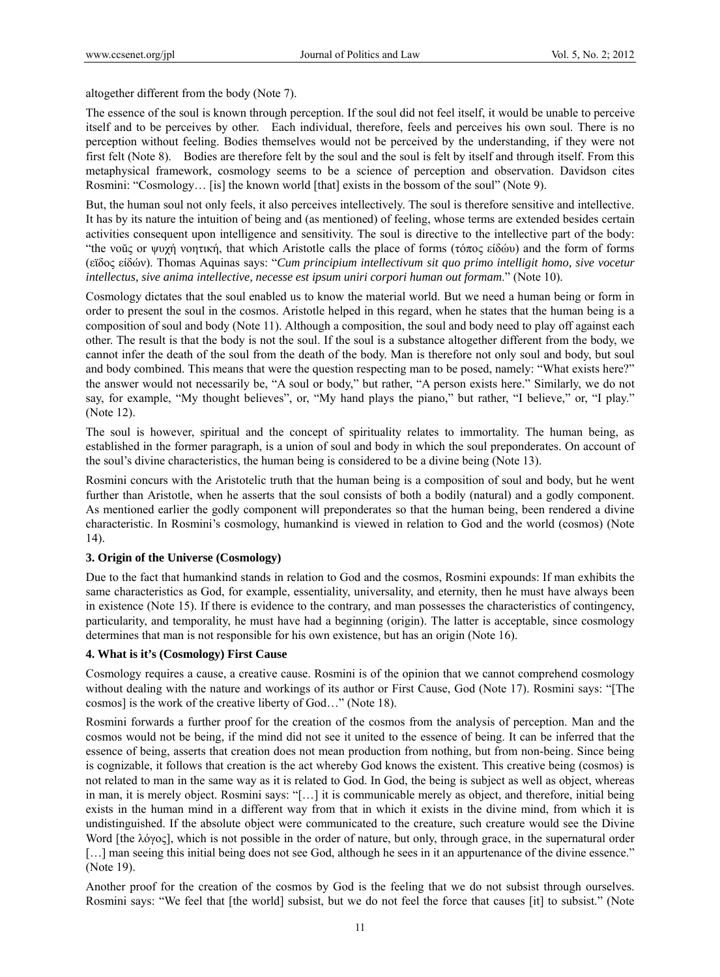altogether different from the body (Note 7).

The essence of the soul is known through perception. If the soul did not feel itself, it would be unable to perceive itself and to be perceives by other. Each individual, therefore, feels and perceives his own soul. There is no perception without feeling. Bodies themselves would not be perceived by the understanding, if they were not first felt (Note 8). Bodies are therefore felt by the soul and the soul is felt by itself and through itself. From this metaphysical framework, cosmology seems to be a science of perception and observation. Davidson cites Rosmini: "Cosmology… [is] the known world [that] exists in the bossom of the soul" (Note 9).

But, the human soul not only feels, it also perceives intellectively. The soul is therefore sensitive and intellective. It has by its nature the intuition of being and (as mentioned) of feeling, whose terms are extended besides certain activities consequent upon intelligence and sensitivity. The soul is directive to the intellective part of the body: "the νοŭς or ψυχή νοητική, that which Aristotle calls the place of forms (τόπος είδώυ) and the form of forms (εϊδος είδών). Thomas Aquinas says: "*Cum principium intellectivum sit quo primo intelligit homo, sive vocetur intellectus, sive anima intellective, necesse est ipsum uniri corpori human out formam*." (Note 10).

Cosmology dictates that the soul enabled us to know the material world. But we need a human being or form in order to present the soul in the cosmos. Aristotle helped in this regard, when he states that the human being is a composition of soul and body (Note 11). Although a composition, the soul and body need to play off against each other. The result is that the body is not the soul. If the soul is a substance altogether different from the body, we cannot infer the death of the soul from the death of the body. Man is therefore not only soul and body, but soul and body combined. This means that were the question respecting man to be posed, namely: "What exists here?" the answer would not necessarily be, "A soul or body," but rather, "A person exists here." Similarly, we do not say, for example, "My thought believes", or, "My hand plays the piano," but rather, "I believe," or, "I play." (Note 12).

The soul is however, spiritual and the concept of spirituality relates to immortality. The human being, as established in the former paragraph, is a union of soul and body in which the soul preponderates. On account of the soul's divine characteristics, the human being is considered to be a divine being (Note 13).

Rosmini concurs with the Aristotelic truth that the human being is a composition of soul and body, but he went further than Aristotle, when he asserts that the soul consists of both a bodily (natural) and a godly component. As mentioned earlier the godly component will preponderates so that the human being, been rendered a divine characteristic. In Rosmini's cosmology, humankind is viewed in relation to God and the world (cosmos) (Note 14).

## **3. Origin of the Universe (Cosmology)**

Due to the fact that humankind stands in relation to God and the cosmos, Rosmini expounds: If man exhibits the same characteristics as God, for example, essentiality, universality, and eternity, then he must have always been in existence (Note 15). If there is evidence to the contrary, and man possesses the characteristics of contingency, particularity, and temporality, he must have had a beginning (origin). The latter is acceptable, since cosmology determines that man is not responsible for his own existence, but has an origin (Note 16).

## **4. What is it's (Cosmology) First Cause**

Cosmology requires a cause, a creative cause. Rosmini is of the opinion that we cannot comprehend cosmology without dealing with the nature and workings of its author or First Cause, God (Note 17). Rosmini says: "[The cosmos] is the work of the creative liberty of God…" (Note 18).

Rosmini forwards a further proof for the creation of the cosmos from the analysis of perception. Man and the cosmos would not be being, if the mind did not see it united to the essence of being. It can be inferred that the essence of being, asserts that creation does not mean production from nothing, but from non-being. Since being is cognizable, it follows that creation is the act whereby God knows the existent. This creative being (cosmos) is not related to man in the same way as it is related to God. In God, the being is subject as well as object, whereas in man, it is merely object. Rosmini says: "[…] it is communicable merely as object, and therefore, initial being exists in the human mind in a different way from that in which it exists in the divine mind, from which it is undistinguished. If the absolute object were communicated to the creature, such creature would see the Divine Word [the λόγος], which is not possible in the order of nature, but only, through grace, in the supernatural order [...] man seeing this initial being does not see God, although he sees in it an appurtenance of the divine essence." (Note 19).

Another proof for the creation of the cosmos by God is the feeling that we do not subsist through ourselves. Rosmini says: "We feel that [the world] subsist, but we do not feel the force that causes [it] to subsist." (Note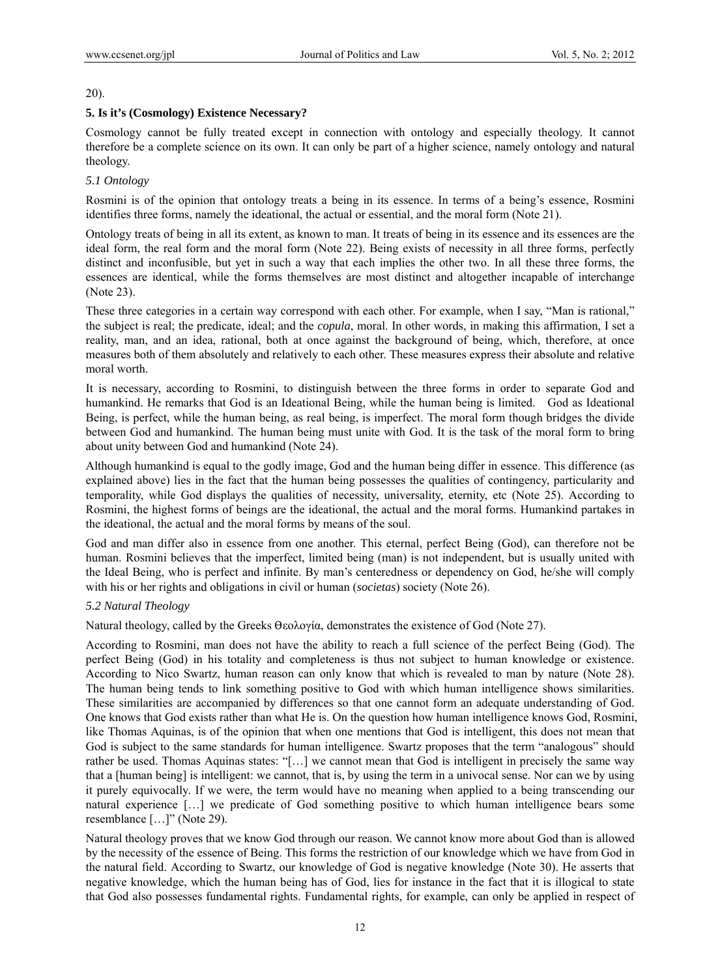#### 20).

#### **5. Is it's (Cosmology) Existence Necessary?**

Cosmology cannot be fully treated except in connection with ontology and especially theology. It cannot therefore be a complete science on its own. It can only be part of a higher science, namely ontology and natural theology.

#### *5.1 Ontology*

Rosmini is of the opinion that ontology treats a being in its essence. In terms of a being's essence, Rosmini identifies three forms, namely the ideational, the actual or essential, and the moral form (Note 21).

Ontology treats of being in all its extent, as known to man. It treats of being in its essence and its essences are the ideal form, the real form and the moral form (Note 22). Being exists of necessity in all three forms, perfectly distinct and inconfusible, but yet in such a way that each implies the other two. In all these three forms, the essences are identical, while the forms themselves are most distinct and altogether incapable of interchange (Note 23).

These three categories in a certain way correspond with each other. For example, when I say, "Man is rational," the subject is real; the predicate, ideal; and the *copula*, moral. In other words, in making this affirmation, I set a reality, man, and an idea, rational, both at once against the background of being, which, therefore, at once measures both of them absolutely and relatively to each other. These measures express their absolute and relative moral worth.

It is necessary, according to Rosmini, to distinguish between the three forms in order to separate God and humankind. He remarks that God is an Ideational Being, while the human being is limited. God as Ideational Being, is perfect, while the human being, as real being, is imperfect. The moral form though bridges the divide between God and humankind. The human being must unite with God. It is the task of the moral form to bring about unity between God and humankind (Note 24).

Although humankind is equal to the godly image, God and the human being differ in essence. This difference (as explained above) lies in the fact that the human being possesses the qualities of contingency, particularity and temporality, while God displays the qualities of necessity, universality, eternity, etc (Note 25). According to Rosmini, the highest forms of beings are the ideational, the actual and the moral forms. Humankind partakes in the ideational, the actual and the moral forms by means of the soul.

God and man differ also in essence from one another. This eternal, perfect Being (God), can therefore not be human. Rosmini believes that the imperfect, limited being (man) is not independent, but is usually united with the Ideal Being, who is perfect and infinite. By man's centeredness or dependency on God, he/she will comply with his or her rights and obligations in civil or human (*societas*) society (Note 26).

## *5.2 Natural Theology*

Natural theology, called by the Greeks Ѳεολογία, demonstrates the existence of God (Note 27).

According to Rosmini, man does not have the ability to reach a full science of the perfect Being (God). The perfect Being (God) in his totality and completeness is thus not subject to human knowledge or existence. According to Nico Swartz, human reason can only know that which is revealed to man by nature (Note 28). The human being tends to link something positive to God with which human intelligence shows similarities. These similarities are accompanied by differences so that one cannot form an adequate understanding of God. One knows that God exists rather than what He is. On the question how human intelligence knows God, Rosmini, like Thomas Aquinas, is of the opinion that when one mentions that God is intelligent, this does not mean that God is subject to the same standards for human intelligence. Swartz proposes that the term "analogous" should rather be used. Thomas Aquinas states: "[…] we cannot mean that God is intelligent in precisely the same way that a [human being] is intelligent: we cannot, that is, by using the term in a univocal sense. Nor can we by using it purely equivocally. If we were, the term would have no meaning when applied to a being transcending our natural experience […] we predicate of God something positive to which human intelligence bears some resemblance […]" (Note 29).

Natural theology proves that we know God through our reason. We cannot know more about God than is allowed by the necessity of the essence of Being. This forms the restriction of our knowledge which we have from God in the natural field. According to Swartz, our knowledge of God is negative knowledge (Note 30). He asserts that negative knowledge, which the human being has of God, lies for instance in the fact that it is illogical to state that God also possesses fundamental rights. Fundamental rights, for example, can only be applied in respect of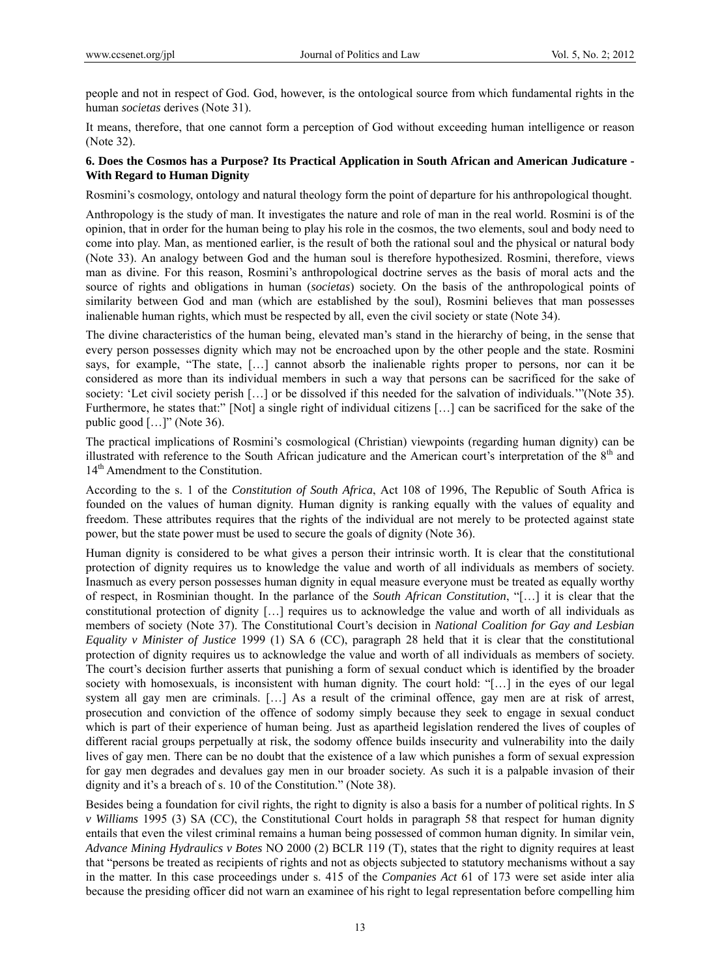people and not in respect of God. God, however, is the ontological source from which fundamental rights in the human *societas* derives (Note 31).

It means, therefore, that one cannot form a perception of God without exceeding human intelligence or reason (Note 32).

## **6. Does the Cosmos has a Purpose? Its Practical Application in South African and American Judicature - With Regard to Human Dignity**

Rosmini's cosmology, ontology and natural theology form the point of departure for his anthropological thought.

Anthropology is the study of man. It investigates the nature and role of man in the real world. Rosmini is of the opinion, that in order for the human being to play his role in the cosmos, the two elements, soul and body need to come into play. Man, as mentioned earlier, is the result of both the rational soul and the physical or natural body (Note 33). An analogy between God and the human soul is therefore hypothesized. Rosmini, therefore, views man as divine. For this reason, Rosmini's anthropological doctrine serves as the basis of moral acts and the source of rights and obligations in human (*societas*) society. On the basis of the anthropological points of similarity between God and man (which are established by the soul), Rosmini believes that man possesses inalienable human rights, which must be respected by all, even the civil society or state (Note 34).

The divine characteristics of the human being, elevated man's stand in the hierarchy of being, in the sense that every person possesses dignity which may not be encroached upon by the other people and the state. Rosmini says, for example, "The state, […] cannot absorb the inalienable rights proper to persons, nor can it be considered as more than its individual members in such a way that persons can be sacrificed for the sake of society: 'Let civil society perish [...] or be dissolved if this needed for the salvation of individuals.'"(Note 35). Furthermore, he states that:" [Not] a single right of individual citizens […] can be sacrificed for the sake of the public good […]" (Note 36).

The practical implications of Rosmini's cosmological (Christian) viewpoints (regarding human dignity) can be illustrated with reference to the South African judicature and the American court's interpretation of the  $8<sup>th</sup>$  and 14<sup>th</sup> Amendment to the Constitution.

According to the s. 1 of the *Constitution of South Africa*, Act 108 of 1996, The Republic of South Africa is founded on the values of human dignity. Human dignity is ranking equally with the values of equality and freedom. These attributes requires that the rights of the individual are not merely to be protected against state power, but the state power must be used to secure the goals of dignity (Note 36).

Human dignity is considered to be what gives a person their intrinsic worth. It is clear that the constitutional protection of dignity requires us to knowledge the value and worth of all individuals as members of society. Inasmuch as every person possesses human dignity in equal measure everyone must be treated as equally worthy of respect, in Rosminian thought. In the parlance of the *South African Constitution*, "[…] it is clear that the constitutional protection of dignity […] requires us to acknowledge the value and worth of all individuals as members of society (Note 37). The Constitutional Court's decision in *National Coalition for Gay and Lesbian Equality v Minister of Justice* 1999 (1) SA 6 (CC), paragraph 28 held that it is clear that the constitutional protection of dignity requires us to acknowledge the value and worth of all individuals as members of society. The court's decision further asserts that punishing a form of sexual conduct which is identified by the broader society with homosexuals, is inconsistent with human dignity. The court hold: "[...] in the eyes of our legal system all gay men are criminals. [...] As a result of the criminal offence, gay men are at risk of arrest, prosecution and conviction of the offence of sodomy simply because they seek to engage in sexual conduct which is part of their experience of human being. Just as apartheid legislation rendered the lives of couples of different racial groups perpetually at risk, the sodomy offence builds insecurity and vulnerability into the daily lives of gay men. There can be no doubt that the existence of a law which punishes a form of sexual expression for gay men degrades and devalues gay men in our broader society. As such it is a palpable invasion of their dignity and it's a breach of s. 10 of the Constitution." (Note 38).

Besides being a foundation for civil rights, the right to dignity is also a basis for a number of political rights. In *S v Williams* 1995 (3) SA (CC), the Constitutional Court holds in paragraph 58 that respect for human dignity entails that even the vilest criminal remains a human being possessed of common human dignity. In similar vein, *Advance Mining Hydraulics v Botes* NO 2000 (2) BCLR 119 (T), states that the right to dignity requires at least that "persons be treated as recipients of rights and not as objects subjected to statutory mechanisms without a say in the matter. In this case proceedings under s. 415 of the *Companies Act* 61 of 173 were set aside inter alia because the presiding officer did not warn an examinee of his right to legal representation before compelling him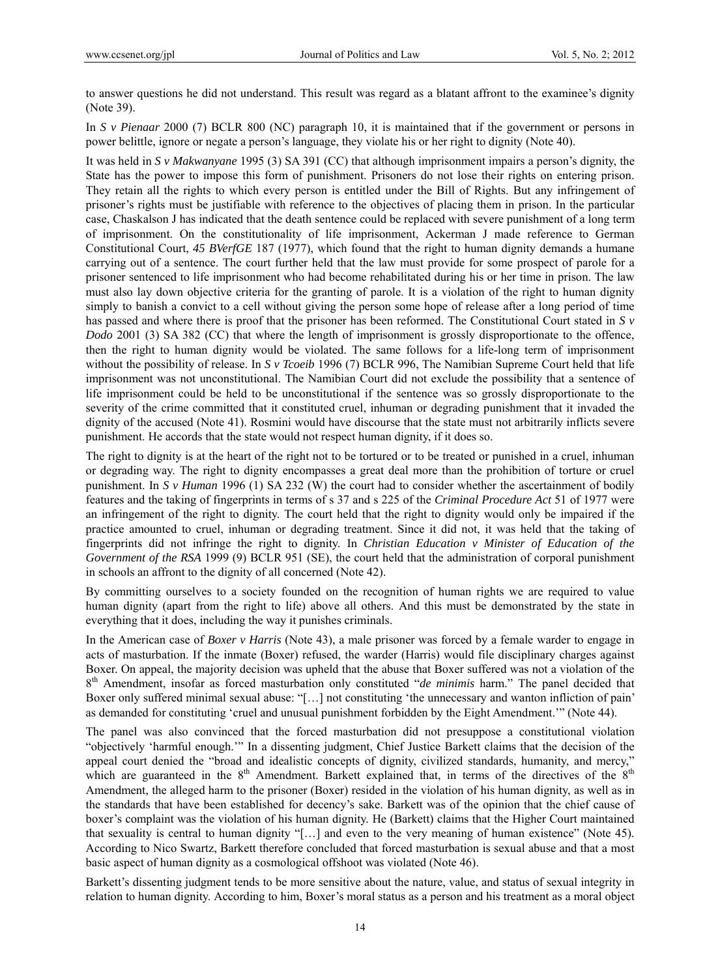to answer questions he did not understand. This result was regard as a blatant affront to the examinee's dignity (Note 39).

In *S v Pienaar* 2000 (7) BCLR 800 (NC) paragraph 10, it is maintained that if the government or persons in power belittle, ignore or negate a person's language, they violate his or her right to dignity (Note 40).

It was held in *S v Makwanyane* 1995 (3) SA 391 (CC) that although imprisonment impairs a person's dignity, the State has the power to impose this form of punishment. Prisoners do not lose their rights on entering prison. They retain all the rights to which every person is entitled under the Bill of Rights. But any infringement of prisoner's rights must be justifiable with reference to the objectives of placing them in prison. In the particular case, Chaskalson J has indicated that the death sentence could be replaced with severe punishment of a long term of imprisonment. On the constitutionality of life imprisonment, Ackerman J made reference to German Constitutional Court, *45 BVerfGE* 187 (1977), which found that the right to human dignity demands a humane carrying out of a sentence. The court further held that the law must provide for some prospect of parole for a prisoner sentenced to life imprisonment who had become rehabilitated during his or her time in prison. The law must also lay down objective criteria for the granting of parole. It is a violation of the right to human dignity simply to banish a convict to a cell without giving the person some hope of release after a long period of time has passed and where there is proof that the prisoner has been reformed. The Constitutional Court stated in *S v Dodo* 2001 (3) SA 382 (CC) that where the length of imprisonment is grossly disproportionate to the offence, then the right to human dignity would be violated. The same follows for a life-long term of imprisonment without the possibility of release. In *S v Tcoeib* 1996 (7) BCLR 996, The Namibian Supreme Court held that life imprisonment was not unconstitutional. The Namibian Court did not exclude the possibility that a sentence of life imprisonment could be held to be unconstitutional if the sentence was so grossly disproportionate to the severity of the crime committed that it constituted cruel, inhuman or degrading punishment that it invaded the dignity of the accused (Note 41). Rosmini would have discourse that the state must not arbitrarily inflicts severe punishment. He accords that the state would not respect human dignity, if it does so.

The right to dignity is at the heart of the right not to be tortured or to be treated or punished in a cruel, inhuman or degrading way. The right to dignity encompasses a great deal more than the prohibition of torture or cruel punishment. In *S v Human* 1996 (1) SA 232 (W) the court had to consider whether the ascertainment of bodily features and the taking of fingerprints in terms of s 37 and s 225 of the *Criminal Procedure Act* 51 of 1977 were an infringement of the right to dignity. The court held that the right to dignity would only be impaired if the practice amounted to cruel, inhuman or degrading treatment. Since it did not, it was held that the taking of fingerprints did not infringe the right to dignity. In *Christian Education v Minister of Education of the Government of the RSA* 1999 (9) BCLR 951 (SE), the court held that the administration of corporal punishment in schools an affront to the dignity of all concerned (Note 42).

By committing ourselves to a society founded on the recognition of human rights we are required to value human dignity (apart from the right to life) above all others. And this must be demonstrated by the state in everything that it does, including the way it punishes criminals.

In the American case of *Boxer v Harris* (Note 43), a male prisoner was forced by a female warder to engage in acts of masturbation. If the inmate (Boxer) refused, the warder (Harris) would file disciplinary charges against Boxer. On appeal, the majority decision was upheld that the abuse that Boxer suffered was not a violation of the 8<sup>th</sup> Amendment, insofar as forced masturbation only constituted "*de minimis* harm." The panel decided that Boxer only suffered minimal sexual abuse: "[…] not constituting 'the unnecessary and wanton infliction of pain' as demanded for constituting 'cruel and unusual punishment forbidden by the Eight Amendment.'" (Note 44).

The panel was also convinced that the forced masturbation did not presuppose a constitutional violation "objectively 'harmful enough.'" In a dissenting judgment, Chief Justice Barkett claims that the decision of the appeal court denied the "broad and idealistic concepts of dignity, civilized standards, humanity, and mercy," which are guaranteed in the  $8<sup>th</sup>$  Amendment. Barkett explained that, in terms of the directives of the  $8<sup>th</sup>$ Amendment, the alleged harm to the prisoner (Boxer) resided in the violation of his human dignity, as well as in the standards that have been established for decency's sake. Barkett was of the opinion that the chief cause of boxer's complaint was the violation of his human dignity. He (Barkett) claims that the Higher Court maintained that sexuality is central to human dignity "[…] and even to the very meaning of human existence" (Note 45). According to Nico Swartz, Barkett therefore concluded that forced masturbation is sexual abuse and that a most basic aspect of human dignity as a cosmological offshoot was violated (Note 46).

Barkett's dissenting judgment tends to be more sensitive about the nature, value, and status of sexual integrity in relation to human dignity. According to him, Boxer's moral status as a person and his treatment as a moral object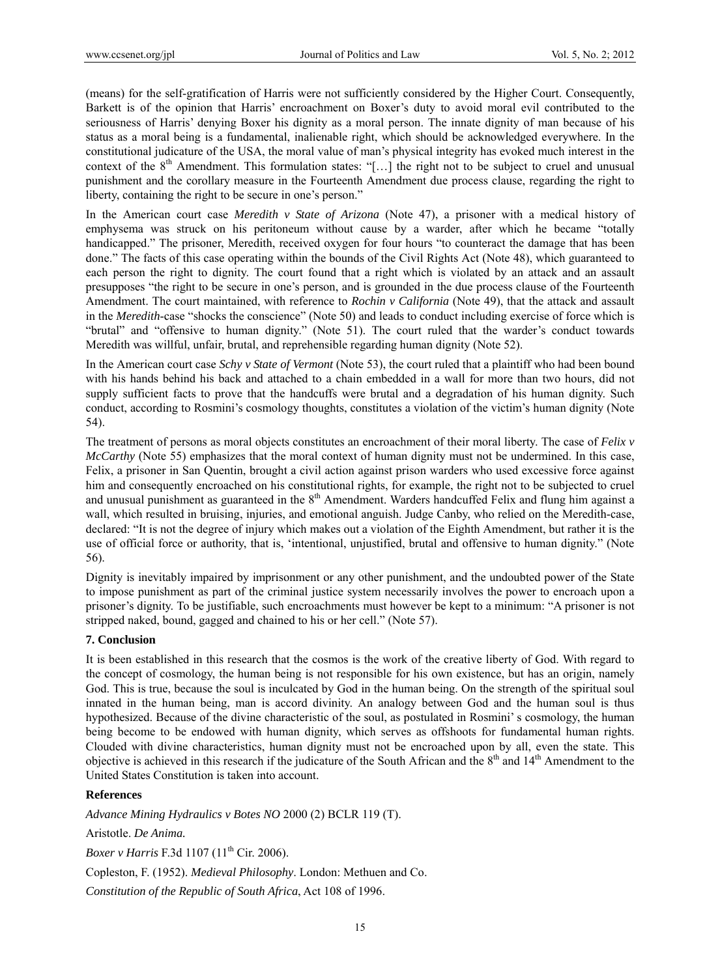(means) for the self-gratification of Harris were not sufficiently considered by the Higher Court. Consequently, Barkett is of the opinion that Harris' encroachment on Boxer's duty to avoid moral evil contributed to the seriousness of Harris' denying Boxer his dignity as a moral person. The innate dignity of man because of his status as a moral being is a fundamental, inalienable right, which should be acknowledged everywhere. In the constitutional judicature of the USA, the moral value of man's physical integrity has evoked much interest in the context of the  $8<sup>th</sup>$  Amendment. This formulation states: "[...] the right not to be subject to cruel and unusual punishment and the corollary measure in the Fourteenth Amendment due process clause, regarding the right to liberty, containing the right to be secure in one's person."

In the American court case *Meredith v State of Arizona* (Note 47), a prisoner with a medical history of emphysema was struck on his peritoneum without cause by a warder, after which he became "totally handicapped." The prisoner, Meredith, received oxygen for four hours "to counteract the damage that has been done." The facts of this case operating within the bounds of the Civil Rights Act (Note 48), which guaranteed to each person the right to dignity. The court found that a right which is violated by an attack and an assault presupposes "the right to be secure in one's person, and is grounded in the due process clause of the Fourteenth Amendment. The court maintained, with reference to *Rochin v California* (Note 49), that the attack and assault in the *Meredith*-case "shocks the conscience" (Note 50) and leads to conduct including exercise of force which is "brutal" and "offensive to human dignity." (Note 51). The court ruled that the warder's conduct towards Meredith was willful, unfair, brutal, and reprehensible regarding human dignity (Note 52).

In the American court case *Schy v State of Vermont* (Note 53), the court ruled that a plaintiff who had been bound with his hands behind his back and attached to a chain embedded in a wall for more than two hours, did not supply sufficient facts to prove that the handcuffs were brutal and a degradation of his human dignity. Such conduct, according to Rosmini's cosmology thoughts, constitutes a violation of the victim's human dignity (Note 54).

The treatment of persons as moral objects constitutes an encroachment of their moral liberty. The case of *Felix v McCarthy* (Note 55) emphasizes that the moral context of human dignity must not be undermined. In this case, Felix, a prisoner in San Quentin, brought a civil action against prison warders who used excessive force against him and consequently encroached on his constitutional rights, for example, the right not to be subjected to cruel and unusual punishment as guaranteed in the 8<sup>th</sup> Amendment. Warders handcuffed Felix and flung him against a wall, which resulted in bruising, injuries, and emotional anguish. Judge Canby, who relied on the Meredith-case, declared: "It is not the degree of injury which makes out a violation of the Eighth Amendment, but rather it is the use of official force or authority, that is, 'intentional, unjustified, brutal and offensive to human dignity." (Note 56).

Dignity is inevitably impaired by imprisonment or any other punishment, and the undoubted power of the State to impose punishment as part of the criminal justice system necessarily involves the power to encroach upon a prisoner's dignity. To be justifiable, such encroachments must however be kept to a minimum: "A prisoner is not stripped naked, bound, gagged and chained to his or her cell." (Note 57).

#### **7. Conclusion**

It is been established in this research that the cosmos is the work of the creative liberty of God. With regard to the concept of cosmology, the human being is not responsible for his own existence, but has an origin, namely God. This is true, because the soul is inculcated by God in the human being. On the strength of the spiritual soul innated in the human being, man is accord divinity. An analogy between God and the human soul is thus hypothesized. Because of the divine characteristic of the soul, as postulated in Rosmini' s cosmology, the human being become to be endowed with human dignity, which serves as offshoots for fundamental human rights. Clouded with divine characteristics, human dignity must not be encroached upon by all, even the state. This objective is achieved in this research if the judicature of the South African and the 8<sup>th</sup> and 14<sup>th</sup> Amendment to the United States Constitution is taken into account.

#### **References**

*Advance Mining Hydraulics v Botes NO* 2000 (2) BCLR 119 (T).

Aristotle. *De Anima.*

*Boxer v Harris* F.3d 1107 (11<sup>th</sup> Cir. 2006).

Copleston, F. (1952). *Medieval Philosophy*. London: Methuen and Co. *Constitution of the Republic of South Africa*, Act 108 of 1996.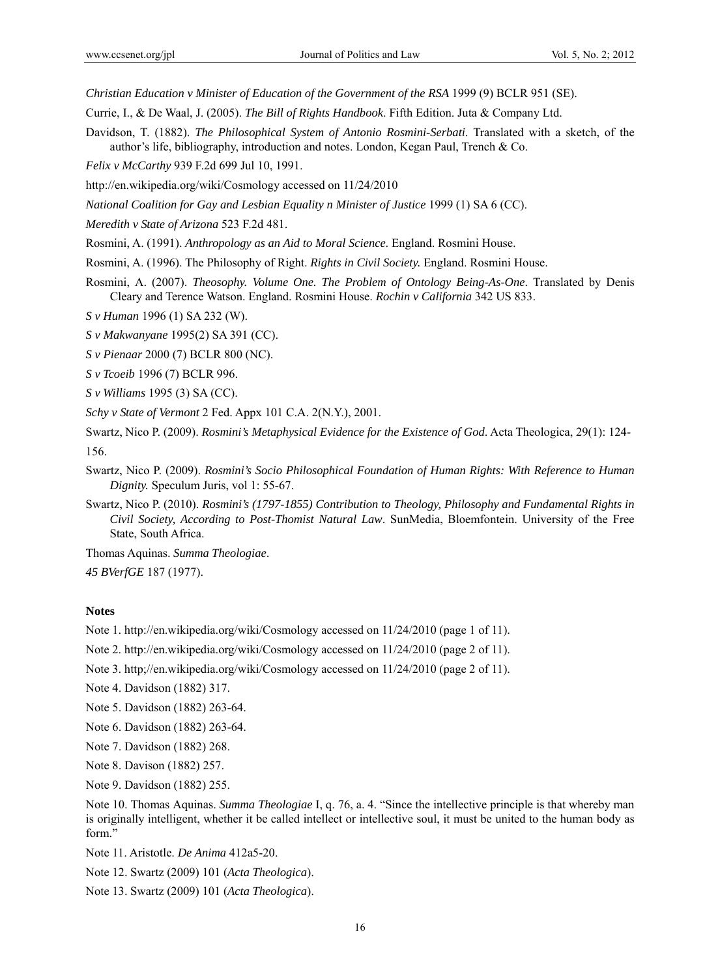*Christian Education v Minister of Education of the Government of the RSA* 1999 (9) BCLR 951 (SE).

Currie, I., & De Waal, J. (2005). *The Bill of Rights Handbook*. Fifth Edition. Juta & Company Ltd.

Davidson, T. (1882). *The Philosophical System of Antonio Rosmini-Serbati*. Translated with a sketch, of the author's life, bibliography, introduction and notes. London, Kegan Paul, Trench & Co.

*Felix v McCarthy* 939 F.2d 699 Jul 10, 1991.

http://en.wikipedia.org/wiki/Cosmology accessed on 11/24/2010

*National Coalition for Gay and Lesbian Equality n Minister of Justice* 1999 (1) SA 6 (CC).

*Meredith v State of Arizona* 523 F.2d 481.

Rosmini, A. (1991). *Anthropology as an Aid to Moral Science*. England. Rosmini House.

Rosmini, A. (1996). The Philosophy of Right. *Rights in Civil Society.* England. Rosmini House.

Rosmini, A. (2007). *Theosophy. Volume One. The Problem of Ontology Being-As-One*. Translated by Denis Cleary and Terence Watson. England. Rosmini House. *Rochin v California* 342 US 833.

*S v Human* 1996 (1) SA 232 (W).

*S v Makwanyane* 1995(2) SA 391 (CC).

*S v Pienaar* 2000 (7) BCLR 800 (NC).

*S v Tcoeib* 1996 (7) BCLR 996.

*S v Williams* 1995 (3) SA (CC).

*Schy v State of Vermont* 2 Fed. Appx 101 C.A. 2(N.Y.), 2001.

Swartz, Nico P. (2009). *Rosmini's Metaphysical Evidence for the Existence of God*. Acta Theologica, 29(1): 124- 156.

- Swartz, Nico P. (2009). *Rosmini's Socio Philosophical Foundation of Human Rights: With Reference to Human Dignity.* Speculum Juris, vol 1: 55-67.
- Swartz, Nico P. (2010). *Rosmini's (1797-1855) Contribution to Theology, Philosophy and Fundamental Rights in Civil Society, According to Post-Thomist Natural Law*. SunMedia, Bloemfontein. University of the Free State, South Africa.

Thomas Aquinas. *Summa Theologiae*.

*45 BVerfGE* 187 (1977).

#### **Notes**

Note 1. http://en.wikipedia.org/wiki/Cosmology accessed on 11/24/2010 (page 1 of 11).

Note 2. http://en.wikipedia.org/wiki/Cosmology accessed on 11/24/2010 (page 2 of 11).

Note 3. http;//en.wikipedia.org/wiki/Cosmology accessed on 11/24/2010 (page 2 of 11).

Note 4. Davidson (1882) 317.

Note 5. Davidson (1882) 263-64.

Note 6. Davidson (1882) 263-64.

Note 7. Davidson (1882) 268.

Note 8. Davison (1882) 257.

Note 9. Davidson (1882) 255.

Note 10. Thomas Aquinas. *Summa Theologiae* I, q. 76, a. 4. "Since the intellective principle is that whereby man is originally intelligent, whether it be called intellect or intellective soul, it must be united to the human body as form."

Note 11. Aristotle. *De Anima* 412a5-20.

Note 12. Swartz (2009) 101 (*Acta Theologica*).

Note 13. Swartz (2009) 101 (*Acta Theologica*).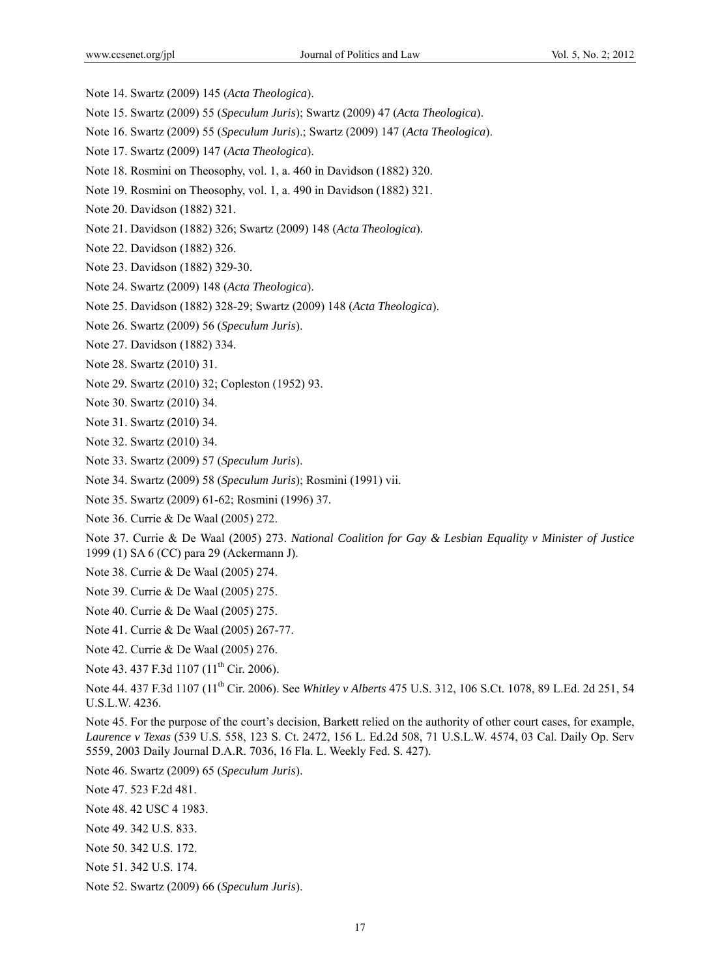- Note 14. Swartz (2009) 145 (*Acta Theologica*).
- Note 15. Swartz (2009) 55 (*Speculum Juris*); Swartz (2009) 47 (*Acta Theologica*).
- Note 16. Swartz (2009) 55 (*Speculum Juris*).; Swartz (2009) 147 (*Acta Theologica*).
- Note 17. Swartz (2009) 147 (*Acta Theologica*).
- Note 18. Rosmini on Theosophy, vol. 1, a. 460 in Davidson (1882) 320.
- Note 19. Rosmini on Theosophy, vol. 1, a. 490 in Davidson (1882) 321.
- Note 20. Davidson (1882) 321.
- Note 21. Davidson (1882) 326; Swartz (2009) 148 (*Acta Theologica*).
- Note 22. Davidson (1882) 326.
- Note 23. Davidson (1882) 329-30.
- Note 24. Swartz (2009) 148 (*Acta Theologica*).
- Note 25. Davidson (1882) 328-29; Swartz (2009) 148 (*Acta Theologica*).
- Note 26. Swartz (2009) 56 (*Speculum Juris*).
- Note 27. Davidson (1882) 334.
- Note 28. Swartz (2010) 31.
- Note 29. Swartz (2010) 32; Copleston (1952) 93.
- Note 30. Swartz (2010) 34.
- Note 31. Swartz (2010) 34.
- Note 32. Swartz (2010) 34.
- Note 33. Swartz (2009) 57 (*Speculum Juris*).
- Note 34. Swartz (2009) 58 (*Speculum Juris*); Rosmini (1991) vii.
- Note 35. Swartz (2009) 61-62; Rosmini (1996) 37.
- Note 36. Currie & De Waal (2005) 272.

Note 37. Currie & De Waal (2005) 273. *National Coalition for Gay & Lesbian Equality v Minister of Justice* 1999 (1) SA 6 (CC) para 29 (Ackermann J).

- Note 38. Currie & De Waal (2005) 274.
- Note 39. Currie & De Waal (2005) 275.
- Note 40. Currie & De Waal (2005) 275.
- Note 41. Currie & De Waal (2005) 267-77.
- Note 42. Currie & De Waal (2005) 276.
- Note 43. 437 F.3d 1107 (11<sup>th</sup> Cir. 2006).

Note 44. 437 F.3d 1107 (11th Cir. 2006). See *Whitley v Alberts* 475 U.S. 312, 106 S.Ct. 1078, 89 L.Ed. 2d 251, 54 U.S.L.W. 4236.

Note 45. For the purpose of the court's decision, Barkett relied on the authority of other court cases, for example, *Laurence v Texas* (539 U.S. 558, 123 S. Ct. 2472, 156 L. Ed.2d 508, 71 U.S.L.W. 4574, 03 Cal. Daily Op. Serv 5559, 2003 Daily Journal D.A.R. 7036, 16 Fla. L. Weekly Fed. S. 427).

- Note 46. Swartz (2009) 65 (*Speculum Juris*).
- Note 47. 523 F.2d 481.
- Note 48. 42 USC 4 1983.
- Note 49. 342 U.S. 833.
- Note 50. 342 U.S. 172.
- Note 51. 342 U.S. 174.
- Note 52. Swartz (2009) 66 (*Speculum Juris*).